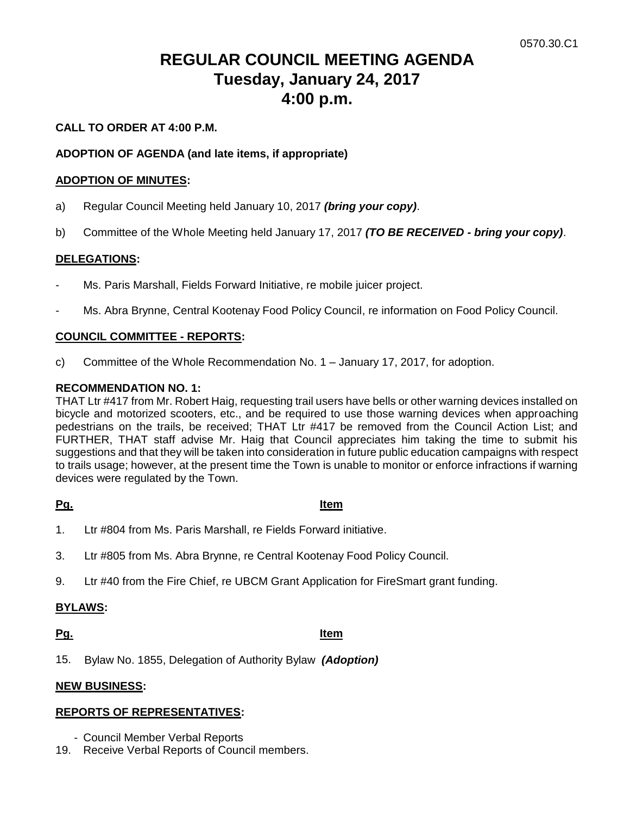# **REGULAR COUNCIL MEETING AGENDA Tuesday, January 24, 2017 4:00 p.m.**

# **CALL TO ORDER AT 4:00 P.M.**

# **ADOPTION OF AGENDA (and late items, if appropriate)**

### **ADOPTION OF MINUTES:**

- a) Regular Council Meeting held January 10, 2017 *(bring your copy)*.
- b) Committee of the Whole Meeting held January 17, 2017 *(TO BE RECEIVED - bring your copy)*.

### **DELEGATIONS:**

- Ms. Paris Marshall, Fields Forward Initiative, re mobile juicer project.
- Ms. Abra Brynne, Central Kootenay Food Policy Council, re information on Food Policy Council.

### **COUNCIL COMMITTEE - REPORTS:**

c) Committee of the Whole Recommendation No. 1 – January 17, 2017, for adoption.

#### **RECOMMENDATION NO. 1:**

THAT Ltr #417 from Mr. Robert Haig, requesting trail users have bells or other warning devices installed on bicycle and motorized scooters, etc., and be required to use those warning devices when approaching pedestrians on the trails, be received; THAT Ltr #417 be removed from the Council Action List; and FURTHER, THAT staff advise Mr. Haig that Council appreciates him taking the time to submit his suggestions and that they will be taken into consideration in future public education campaigns with respect to trails usage; however, at the present time the Town is unable to monitor or enforce infractions if warning devices were regulated by the Town.

**Pg. Item**

- 1. Ltr #804 from Ms. Paris Marshall, re Fields Forward initiative.
- 3. Ltr #805 from Ms. Abra Brynne, re Central Kootenay Food Policy Council.
- 9. Ltr #40 from the Fire Chief, re UBCM Grant Application for FireSmart grant funding.

# **BYLAWS:**

**Pg. Item**

15. Bylaw No. 1855, Delegation of Authority Bylaw *(Adoption)*

#### **NEW BUSINESS:**

#### **REPORTS OF REPRESENTATIVES:**

- Council Member Verbal Reports
- 19. Receive Verbal Reports of Council members.